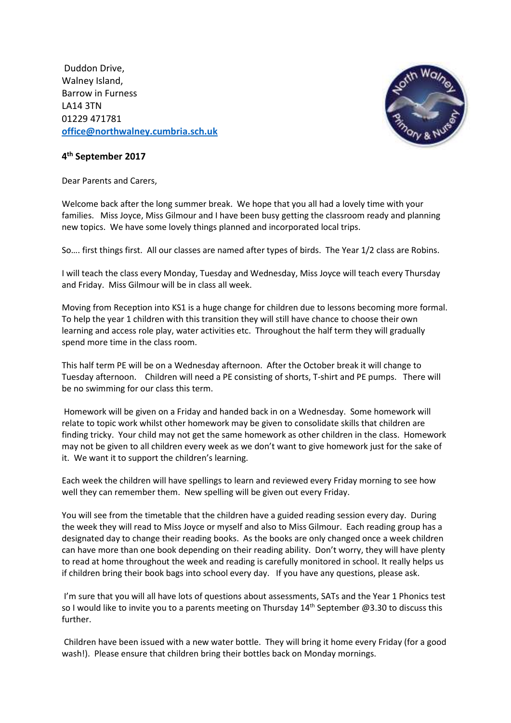Duddon Drive, Walney Island, Barrow in Furness LA14 3TN 01229 471781 **office@northwalney.cumbria.sch.uk**



## **4 th September 2017**

Dear Parents and Carers,

Welcome back after the long summer break. We hope that you all had a lovely time with your families. Miss Joyce, Miss Gilmour and I have been busy getting the classroom ready and planning new topics. We have some lovely things planned and incorporated local trips.

So…. first things first. All our classes are named after types of birds. The Year 1/2 class are Robins.

I will teach the class every Monday, Tuesday and Wednesday, Miss Joyce will teach every Thursday and Friday. Miss Gilmour will be in class all week.

Moving from Reception into KS1 is a huge change for children due to lessons becoming more formal. To help the year 1 children with this transition they will still have chance to choose their own learning and access role play, water activities etc. Throughout the half term they will gradually spend more time in the class room.

This half term PE will be on a Wednesday afternoon. After the October break it will change to Tuesday afternoon. Children will need a PE consisting of shorts, T-shirt and PE pumps. There will be no swimming for our class this term.

 Homework will be given on a Friday and handed back in on a Wednesday. Some homework will relate to topic work whilst other homework may be given to consolidate skills that children are finding tricky. Your child may not get the same homework as other children in the class. Homework may not be given to all children every week as we don't want to give homework just for the sake of it. We want it to support the children's learning.

Each week the children will have spellings to learn and reviewed every Friday morning to see how well they can remember them. New spelling will be given out every Friday.

You will see from the timetable that the children have a guided reading session every day. During the week they will read to Miss Joyce or myself and also to Miss Gilmour. Each reading group has a designated day to change their reading books. As the books are only changed once a week children can have more than one book depending on their reading ability. Don't worry, they will have plenty to read at home throughout the week and reading is carefully monitored in school. It really helps us if children bring their book bags into school every day. If you have any questions, please ask.

I'm sure that you will all have lots of questions about assessments, SATs and the Year 1 Phonics test so I would like to invite you to a parents meeting on Thursday 14<sup>th</sup> September @3.30 to discuss this further.

 Children have been issued with a new water bottle. They will bring it home every Friday (for a good wash!). Please ensure that children bring their bottles back on Monday mornings.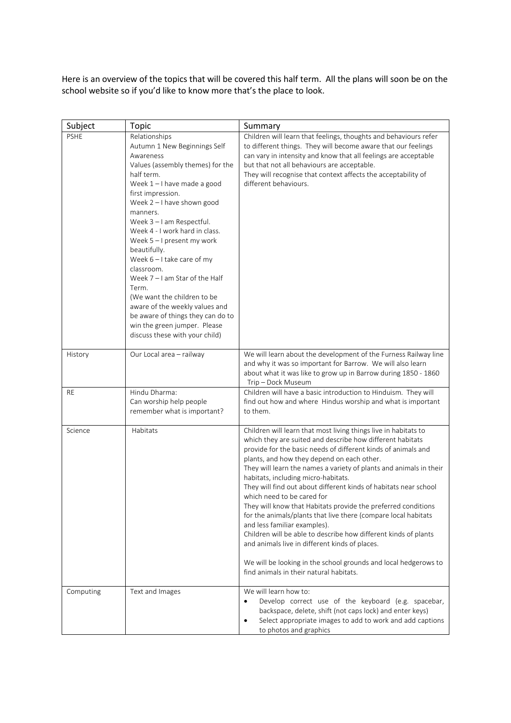Here is an overview of the topics that will be covered this half term. All the plans will soon be on the school website so if you'd like to know more that's the place to look.

| Subject     | Topic                                                                                                                                                                                                                                                                                                                                                                                                                                                                                                                                                                                  | Summary                                                                                                                                                                                                                                                                                                                                                                                                                                                                                                                                                                                                                                                                                                                                                                                                                                                          |
|-------------|----------------------------------------------------------------------------------------------------------------------------------------------------------------------------------------------------------------------------------------------------------------------------------------------------------------------------------------------------------------------------------------------------------------------------------------------------------------------------------------------------------------------------------------------------------------------------------------|------------------------------------------------------------------------------------------------------------------------------------------------------------------------------------------------------------------------------------------------------------------------------------------------------------------------------------------------------------------------------------------------------------------------------------------------------------------------------------------------------------------------------------------------------------------------------------------------------------------------------------------------------------------------------------------------------------------------------------------------------------------------------------------------------------------------------------------------------------------|
| <b>PSHE</b> | Relationships<br>Autumn 1 New Beginnings Self<br>Awareness<br>Values (assembly themes) for the<br>half term.<br>Week 1-I have made a good<br>first impression.<br>Week 2 - I have shown good<br>manners.<br>Week 3 - I am Respectful.<br>Week 4 - I work hard in class.<br>Week 5 - I present my work<br>beautifully.<br>Week $6 - 1$ take care of my<br>classroom.<br>Week 7 - I am Star of the Half<br>Term.<br>(We want the children to be<br>aware of the weekly values and<br>be aware of things they can do to<br>win the green jumper. Please<br>discuss these with your child) | Children will learn that feelings, thoughts and behaviours refer<br>to different things. They will become aware that our feelings<br>can vary in intensity and know that all feelings are acceptable<br>but that not all behaviours are acceptable.<br>They will recognise that context affects the acceptability of<br>different behaviours.                                                                                                                                                                                                                                                                                                                                                                                                                                                                                                                    |
| History     | Our Local area - railway                                                                                                                                                                                                                                                                                                                                                                                                                                                                                                                                                               | We will learn about the development of the Furness Railway line<br>and why it was so important for Barrow. We will also learn<br>about what it was like to grow up in Barrow during 1850 - 1860<br>Trip - Dock Museum                                                                                                                                                                                                                                                                                                                                                                                                                                                                                                                                                                                                                                            |
| <b>RE</b>   | Hindu Dharma:<br>Can worship help people<br>remember what is important?                                                                                                                                                                                                                                                                                                                                                                                                                                                                                                                | Children will have a basic introduction to Hinduism. They will<br>find out how and where Hindus worship and what is important<br>to them.                                                                                                                                                                                                                                                                                                                                                                                                                                                                                                                                                                                                                                                                                                                        |
| Science     | Habitats                                                                                                                                                                                                                                                                                                                                                                                                                                                                                                                                                                               | Children will learn that most living things live in habitats to<br>which they are suited and describe how different habitats<br>provide for the basic needs of different kinds of animals and<br>plants, and how they depend on each other.<br>They will learn the names a variety of plants and animals in their<br>habitats, including micro-habitats.<br>They will find out about different kinds of habitats near school<br>which need to be cared for<br>They will know that Habitats provide the preferred conditions<br>for the animals/plants that live there (compare local habitats<br>and less familiar examples).<br>Children will be able to describe how different kinds of plants<br>and animals live in different kinds of places.<br>We will be looking in the school grounds and local hedgerows to<br>find animals in their natural habitats. |
| Computing   | Text and Images                                                                                                                                                                                                                                                                                                                                                                                                                                                                                                                                                                        | We will learn how to:<br>Develop correct use of the keyboard (e.g. spacebar,<br>backspace, delete, shift (not caps lock) and enter keys)<br>Select appropriate images to add to work and add captions<br>$\bullet$<br>to photos and graphics                                                                                                                                                                                                                                                                                                                                                                                                                                                                                                                                                                                                                     |